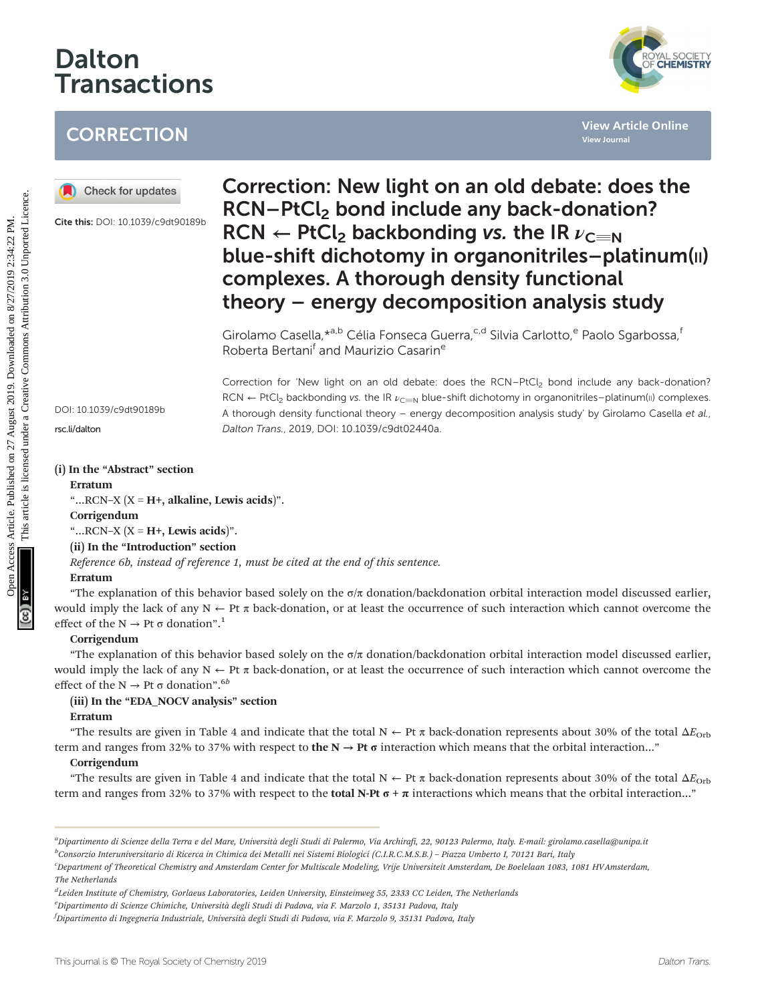# Dalton **Transactions**

## **CORRECTION**



Cite this: DOI: 10.1039/c9dt90189b



# Correction: New light on an old debate: does the RCN–PtCl<sub>2</sub> bond include any back-donation?  $RCN \leftarrow PtCl_2$  backbonding vs. the IR  $\nu_{C=NL}$ blue-shift dichotomy in organonitriles-platinum(II) complexes. A thorough density functional theory – energy decomposition analysis study CORRECTION<br> **OD** Checkforupdates<br>
CREATER ARTICLE **Details are also are also are also are also are also are also are also are also are also are also are also are also are also are also are also are also are also are also a**

Girolamo Casella, \*a,b Célia Fonseca Guerra, <sup>c,d</sup> Silvia Carlotto, e Paolo Sgarbossa, f Roberta Bertani<sup>f</sup> and Maurizio Casarin<sup>e</sup>

DOI: 10.1039/c9dt90189b

[rsc.li/dalton](www.rsc.li/dalton)

Correction for 'New light on an old debate: does the RCN–PtCl<sub>2</sub> bond include any back-donation? RCN  $\leftarrow$  PtCl<sub>2</sub> backbonding vs. the IR  $\nu_{\text{C=N}}$  blue-shift dichotomy in organonitriles–platinum(III) complexes. A thorough density functional theory – energy decomposition analysis study' by Girolamo Casella et al., Dalton Trans., 2019, DOI: 10.1039/c9dt02440a.

## (i) In the "Abstract" section

## Erratum

"... $RCN-X$  ( $X = H+$ , alkaline, Lewis acids)".

## **Corrigendum**

"... $RCN-X$  ( $X = H+$ , Lewis acids)".

## (ii) In the "Introduction" section

Reference 6b, instead of reference 1, must be cited at the end of this sentence.

## Erratum

"The explanation of this behavior based solely on the  $\sigma/\pi$  donation/backdonation orbital interaction model discussed earlier, would imply the lack of any  $N \leftarrow Pt$  π back-donation, or at least the occurrence of such interaction which cannot overcome the effect of the  $N \to Pt$   $\sigma$  donation".<sup>1</sup>

## **Corrigendum**

"The explanation of this behavior based solely on the  $\sigma/\pi$  donation/backdonation orbital interaction model discussed earlier, would imply the lack of any  $N \leftarrow Pt$  π back-donation, or at least the occurrence of such interaction which cannot overcome the effect of the  $N \rightarrow Pt$   $\sigma$  donation".<sup>6b</sup>

## (iii) In the "EDA\_NOCV analysis" section

## Erratum

"The results are given in Table 4 and indicate that the total  $N \leftarrow Pt \pi$  back-donation represents about 30% of the total  $\Delta E_{Orb}$ term and ranges from 32% to 37% with respect to the  $N \to Pt$  σ interaction which means that the orbital interaction..."

## **Corrigendum**

"The results are given in Table 4 and indicate that the total  $N \leftarrow Pt \pi$  back-donation represents about 30% of the total  $\Delta E_{\text{Orb}}$ term and ranges from 32% to 37% with respect to the **total N-Pt**  $\sigma$  +  $\pi$  interactions which means that the orbital interaction..."

a Dipartimento di Scienze della Terra e del Mare, Università degli Studi di Palermo, Via Archirafi, 22, 90123 Palermo, Italy. E-mail: girolamo.casella@unipa.it

b<br>Consorzio Interuniversitario di Ricerca in Chimica dei Metalli nei Sistemi Biologici (C.I.R.C.M.S.B.) – Piazza Umberto I, 70121 Bari, Italy

c Department of Theoretical Chemistry and Amsterdam Center for Multiscale Modeling, Vrije Universiteit Amsterdam, De Boelelaan 1083, 1081 HV Amsterdam, The Netherlands

<sup>&</sup>lt;sup>d</sup>Leiden Institute of Chemistry, Gorlaeus Laboratories, Leiden University, Einsteinweg 55, 2333 CC Leiden, The Netherlands

e Dipartimento di Scienze Chimiche, Università degli Studi di Padova, via F. Marzolo 1, 35131 Padova, Italy

f Dipartimento di Ingegneria Industriale, Università degli Studi di Padova, via F. Marzolo 9, 35131 Padova, Italy